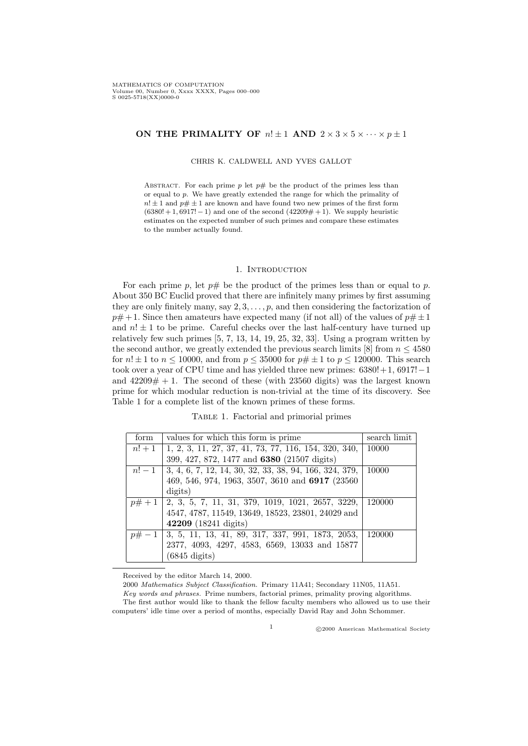# ON THE PRIMALITY OF  $n! \pm 1$  AND  $2 \times 3 \times 5 \times \cdots \times p \pm 1$

CHRIS K. CALDWELL AND YVES GALLOT

ABSTRACT. For each prime  $p$  let  $p\#$  be the product of the primes less than or equal to p. We have greatly extended the range for which the primality of  $n! \pm 1$  and  $p \# \pm 1$  are known and have found two new primes of the first form  $(6380! + 1,6917! - 1)$  and one of the second  $(42209 \# + 1)$ . We supply heuristic estimates on the expected number of such primes and compare these estimates to the number actually found.

### 1. INTRODUCTION

For each prime p, let  $p\#$  be the product of the primes less than or equal to p. About 350 BC Euclid proved that there are infinitely many primes by first assuming they are only finitely many, say  $2, 3, \ldots, p$ , and then considering the factorization of  $p\#+1$ . Since then amateurs have expected many (if not all) of the values of  $p\# \pm 1$ and  $n! \pm 1$  to be prime. Careful checks over the last half-century have turned up relatively few such primes [5, 7, 13, 14, 19, 25, 32, 33]. Using a program written by the second author, we greatly extended the previous search limits [8] from  $n \leq 4580$ for  $n! \pm 1$  to  $n \leq 10000$ , and from  $p \leq 35000$  for  $p \neq \pm 1$  to  $p \leq 120000$ . This search took over a year of CPU time and has yielded three new primes:  $6380!+1$ ,  $6917!-1$ and  $42209# + 1$ . The second of these (with 23560 digits) was the largest known prime for which modular reduction is non-trivial at the time of its discovery. See Table 1 for a complete list of the known primes of these forms.

Table 1. Factorial and primorial primes

| form | values for which this form is prime.                              | search limit |
|------|-------------------------------------------------------------------|--------------|
|      | $n! + 1$   1, 2, 3, 11, 27, 37, 41, 73, 77, 116, 154, 320, 340,   | 10000        |
|      | 399, 427, 872, 1477 and 6380 (21507 digits)                       |              |
|      | $n!-1$   3, 4, 6, 7, 12, 14, 30, 32, 33, 38, 94, 166, 324, 379,   | 10000        |
|      | 469, 546, 974, 1963, 3507, 3610 and 6917 (23560)                  |              |
|      | digits)                                                           |              |
|      | $\boxed{p\#+1}$ [2, 3, 5, 7, 11, 31, 379, 1019, 1021, 2657, 3229, | 120000       |
|      | 4547, 4787, 11549, 13649, 18523, 23801, 24029 and                 |              |
|      | 42209 (18241 digits)                                              |              |
|      | $p\# -1$   3, 5, 11, 13, 41, 89, 317, 337, 991, 1873, 2053,       | 120000       |
|      | 2377, 4093, 4297, 4583, 6569, 13033 and 15877                     |              |
|      | $(6845 \text{ digits})$                                           |              |

Received by the editor March 14, 2000.

2000 Mathematics Subject Classification. Primary 11A41; Secondary 11N05, 11A51.

Key words and phrases. Prime numbers, factorial primes, primality proving algorithms. The first author would like to thank the fellow faculty members who allowed us to use their computers' idle time over a period of months, especially David Ray and John Schommer.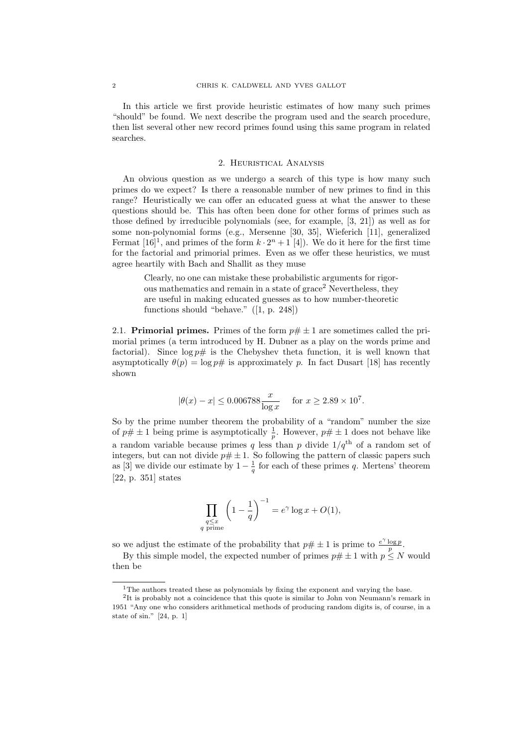In this article we first provide heuristic estimates of how many such primes "should" be found. We next describe the program used and the search procedure, then list several other new record primes found using this same program in related searches.

#### 2. Heuristical Analysis

An obvious question as we undergo a search of this type is how many such primes do we expect? Is there a reasonable number of new primes to find in this range? Heuristically we can offer an educated guess at what the answer to these questions should be. This has often been done for other forms of primes such as those defined by irreducible polynomials (see, for example, [3, 21]) as well as for some non-polynomial forms (e.g., Mersenne [30, 35], Wieferich [11], generalized Fermat  $[16]^1$ , and primes of the form  $k \cdot 2^n + 1$  [4]). We do it here for the first time for the factorial and primorial primes. Even as we offer these heuristics, we must agree heartily with Bach and Shallit as they muse

Clearly, no one can mistake these probabilistic arguments for rigorous mathematics and remain in a state of  $grace<sup>2</sup>$  Nevertheless, they are useful in making educated guesses as to how number-theoretic functions should "behave." ([1, p. 248])

2.1. **Primorial primes.** Primes of the form  $p \# \pm 1$  are sometimes called the primorial primes (a term introduced by H. Dubner as a play on the words prime and factorial). Since  $\log p\#$  is the Chebyshev theta function, it is well known that asymptotically  $\theta(p) = \log p \#$  is approximately p. In fact Dusart [18] has recently shown

$$
|\theta(x) - x| \le 0.006788 \frac{x}{\log x}
$$
 for  $x \ge 2.89 \times 10^7$ .

So by the prime number theorem the probability of a "random" number the size of  $p\# \pm 1$  being prime is asymptotically  $\frac{1}{p}$ . However,  $p\# \pm 1$  does not behave like a random variable because primes q less than p divide  $1/q<sup>th</sup>$  of a random set of integers, but can not divide  $p \# \pm 1$ . So following the pattern of classic papers such as [3] we divide our estimate by  $1-\frac{1}{q}$  for each of these primes q. Mertens' theorem [22, p. 351] states

$$
\prod_{\substack{q \leq x \\ q \text{ prime}}} \left(1 - \frac{1}{q} \right)^{-1} = e^{\gamma} \log x + O(1),
$$

so we adjust the estimate of the probability that  $p \# \pm 1$  is prime to  $\frac{e^{\gamma} \log p}{p}$ .

By this simple model, the expected number of primes  $p \neq \pm 1$  with  $p \leq N$  would then be

<sup>&</sup>lt;sup>1</sup>The authors treated these as polynomials by fixing the exponent and varying the base.

<sup>2</sup> It is probably not a coincidence that this quote is similar to John von Neumann's remark in 1951 "Any one who considers arithmetical methods of producing random digits is, of course, in a state of sin." [24, p. 1]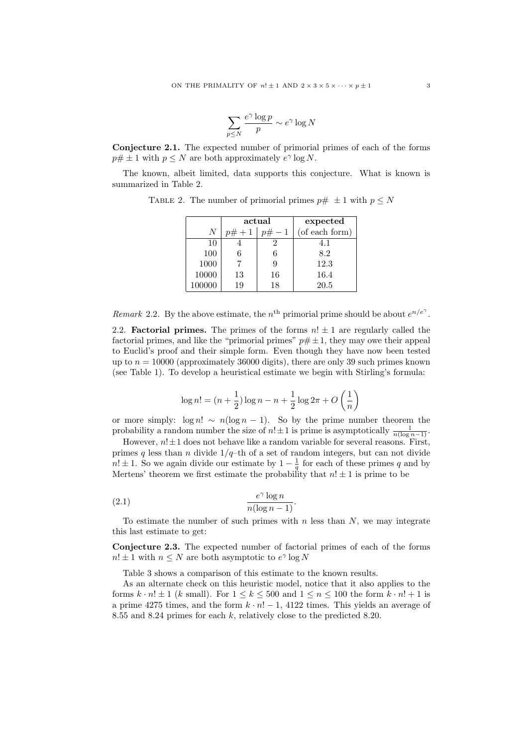$$
\sum_{p \le N} \frac{e^{\gamma} \log p}{p} \sim e^{\gamma} \log N
$$

Conjecture 2.1. The expected number of primorial primes of each of the forms  $p \# \pm 1$  with  $p \leq N$  are both approximately  $e^{\gamma} \log N$ .

The known, albeit limited, data supports this conjecture. What is known is summarized in Table 2.

|        | actual   |    | expected       |
|--------|----------|----|----------------|
| N      | $p# + 1$ |    | (of each form) |
| 10     |          |    | 4.1            |
| 100    |          |    | 8.2            |
| 1000   |          | У  | 12.3           |
| 10000  | 13       | 16 | 16.4           |
| 100000 | 19       | 18 | 20.5           |

TABLE 2. The number of primorial primes  $p \# \pm 1$  with  $p \leq N$ 

Remark 2.2. By the above estimate, the n<sup>th</sup> primorial prime should be about  $e^{n/e^{\gamma}}$ .

2.2. **Factorial primes.** The primes of the forms  $n! \pm 1$  are regularly called the factorial primes, and like the "primorial primes"  $p \# \pm 1$ , they may owe their appeal to Euclid's proof and their simple form. Even though they have now been tested up to  $n = 10000$  (approximately 36000 digits), there are only 39 such primes known (see Table 1). To develop a heuristical estimate we begin with Stirling's formula:

$$
\log n! = (n + \frac{1}{2}) \log n - n + \frac{1}{2} \log 2\pi + O\left(\frac{1}{n}\right)
$$

or more simply:  $\log n! \sim n(\log n - 1)$ . So by the prime number theorem the probability a random number the size of  $n! \pm 1$  is prime is asymptotically  $\frac{1}{n(\log n - 1)}$ .

However,  $n! \pm 1$  does not behave like a random variable for several reasons. First, primes q less than n divide  $1/q$ –th of a set of random integers, but can not divide  $n! \pm 1$ . So we again divide our estimate by  $1 - \frac{1}{q}$  for each of these primes q and by Mertens' theorem we first estimate the probability that  $n! \pm 1$  is prime to be

$$
(2.1) \qquad \qquad \frac{e^{\gamma} \log n}{n(\log n - 1)}.
$$

To estimate the number of such primes with  $n$  less than  $N$ , we may integrate this last estimate to get:

Conjecture 2.3. The expected number of factorial primes of each of the forms  $n! \pm 1$  with  $n \leq N$  are both asymptotic to  $e^{\gamma} \log N$ 

Table 3 shows a comparison of this estimate to the known results.

As an alternate check on this heuristic model, notice that it also applies to the forms  $k \cdot n! \pm 1$  (k small). For  $1 \le k \le 500$  and  $1 \le n \le 100$  the form  $k \cdot n! + 1$  is a prime 4275 times, and the form  $k \cdot n! - 1$ , 4122 times. This yields an average of 8.55 and 8.24 primes for each k, relatively close to the predicted 8.20.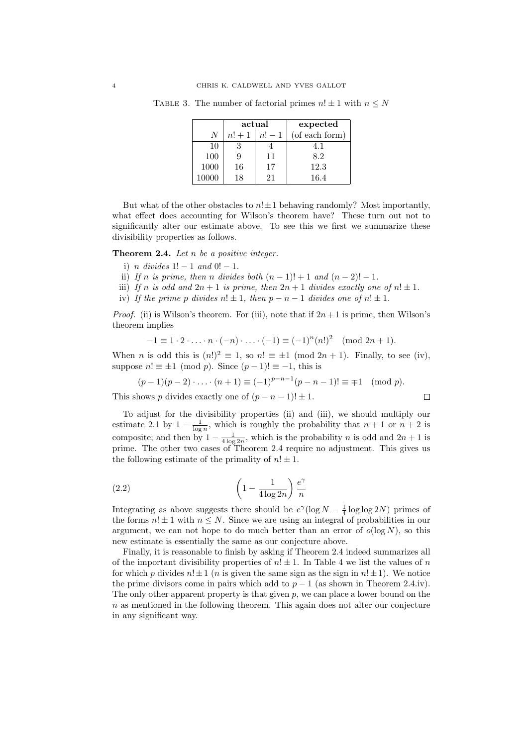|      | actual |        | expected       |
|------|--------|--------|----------------|
| N    | $n!+1$ | $n!-1$ | (of each form) |
| 10   |        |        | 4.1            |
| 100  | 9      | 11     | 8.2            |
| 1000 | 16     | 17     | 12.3           |
|      | 18     | 21     | 16.4           |

TABLE 3. The number of factorial primes  $n! \pm 1$  with  $n \leq N$ 

But what of the other obstacles to  $n! \pm 1$  behaving randomly? Most importantly, what effect does accounting for Wilson's theorem have? These turn out not to significantly alter our estimate above. To see this we first we summarize these divisibility properties as follows.

**Theorem 2.4.** Let  $n$  be a positive integer.

- i) n divides  $1! 1$  and  $0! 1$ .
- ii) If n is prime, then n divides both  $(n-1)! + 1$  and  $(n-2)! 1$ .
- iii) If n is odd and  $2n + 1$  is prime, then  $2n + 1$  divides exactly one of  $n! \pm 1$ .
- iv) If the prime p divides  $n! \pm 1$ , then  $p n 1$  divides one of  $n! \pm 1$ .

*Proof.* (ii) is Wilson's theorem. For (iii), note that if  $2n+1$  is prime, then Wilson's theorem implies

$$
-1 \equiv 1 \cdot 2 \cdot \ldots \cdot n \cdot (-n) \cdot \ldots \cdot (-1) \equiv (-1)^n (n!)^2 \pmod{2n+1}.
$$

When *n* is odd this is  $(n!)^2 \equiv 1$ , so  $n! \equiv \pm 1 \pmod{2n+1}$ . Finally, to see (iv), suppose  $n! \equiv \pm 1 \pmod{p}$ . Since  $(p-1)! \equiv -1$ , this is

$$
(p-1)(p-2)\cdot \ldots \cdot (n+1) \equiv (-1)^{p-n-1}(p-n-1)! \equiv \mp 1 \pmod{p}.
$$

This shows p divides exactly one of  $(p - n - 1)! \pm 1$ .

To adjust for the divisibility properties (ii) and (iii), we should multiply our estimate 2.1 by  $1 - \frac{1}{\log n}$ , which is roughly the probability that  $n + 1$  or  $n + 2$  is composite; and then by  $1 - \frac{1}{4 \log 2n}$ , which is the probability *n* is odd and  $2n + 1$  is prime. The other two cases of Theorem 2.4 require no adjustment. This gives us the following estimate of the primality of  $n! \pm 1$ .

$$
(2.2)\qquad \qquad \left(1 - \frac{1}{4\log 2n}\right)\frac{e^{\gamma}}{n}
$$

Integrating as above suggests there should be  $e^{\gamma}(\log N - \frac{1}{4}\log \log 2N)$  primes of the forms  $n! \pm 1$  with  $n \leq N$ . Since we are using an integral of probabilities in our argument, we can not hope to do much better than an error of  $o(\log N)$ , so this new estimate is essentially the same as our conjecture above.

Finally, it is reasonable to finish by asking if Theorem 2.4 indeed summarizes all of the important divisibility properties of  $n! \pm 1$ . In Table 4 we list the values of n for which p divides  $n! \pm 1$  (*n* is given the same sign as the sign in  $n! \pm 1$ ). We notice the prime divisors come in pairs which add to  $p - 1$  (as shown in Theorem 2.4.iv). The only other apparent property is that given  $p$ , we can place a lower bound on the  $n$  as mentioned in the following theorem. This again does not alter our conjecture in any significant way.

$$
\Box
$$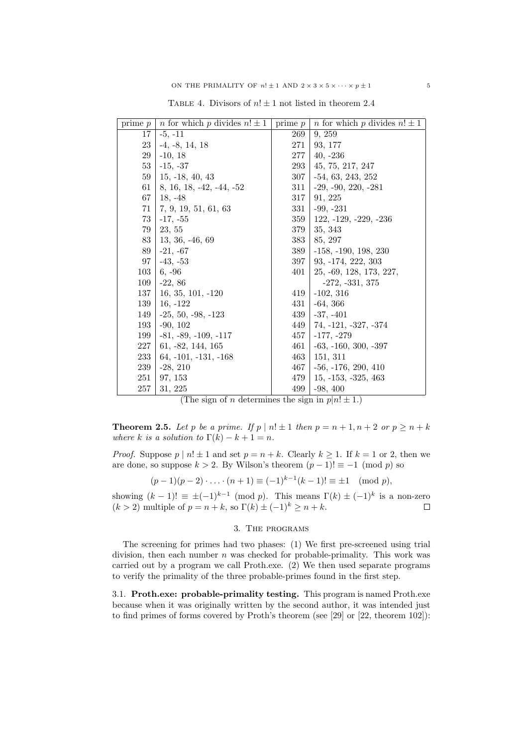| prime $p$ | <i>n</i> for which <i>p</i> divides $n! \pm 1$ | $\overline{\text{prime}} p$ | <i>n</i> for which <i>p</i> divides $n! \pm 1$ |
|-----------|------------------------------------------------|-----------------------------|------------------------------------------------|
| 17        | $-5, -11$                                      | 269                         | 9, 259                                         |
| 23        | $-4, -8, 14, 18$                               | 271                         | 93, 177                                        |
| 29        | $-10, 18$                                      | 277                         | $40, -236$                                     |
| 53        | $-15, -37$                                     | 293                         | 45, 75, 217, 247                               |
| 59        | $15, -18, 40, 43$                              | 307                         | $-54, 63, 243, 252$                            |
| 61        | $8, 16, 18, -42, -44, -52$                     | 311                         | $-29, -90, 220, -281$                          |
| 67        | $18, -48$                                      | 317                         | 91, 225                                        |
| 71        | 7, 9, 19, 51, 61, 63                           | 331                         | $-99, -231$                                    |
| 73        | $-17, -55$                                     | 359                         | $122, -129, -229, -236$                        |
| 79        | 23, 55                                         | 379                         | 35, 343                                        |
| 83        | $13, 36, -46, 69$                              | 383                         | 85, 297                                        |
| 89        | $-21, -67$                                     | 389                         | $-158, -190, 198, 230$                         |
| 97        | $-43, -53$                                     | 397                         | 93, -174, 222, 303                             |
| 103       | $6, -96$                                       | 401                         | 25, -69, 128, 173, 227,                        |
| 109       | $-22, 86$                                      |                             | $-272, -331, 375$                              |
| 137       | $16, 35, 101, -120$                            | 419                         | $-102, 316$                                    |
| 139       | $16, -122$                                     | 431                         | $-64, 366$                                     |
| 149       | $-25, 50, -98, -123$                           | 439                         | $-37, -401$                                    |
| 193       | $-90, 102$                                     | 449                         | 74, -121, -327, -374                           |
| 199       | $-81, -89, -109, -117$                         | 457                         | $-177, -279$                                   |
| 227       | $61, -82, 144, 165$                            | 461                         | $-63, -160, 300, -397$                         |
| 233       | $64, -101, -131, -168$                         | 463                         | 151, 311                                       |
| 239       | $-28, 210$                                     | 467                         | $-56, -176, 290, 410$                          |
| 251       | 97, 153                                        | 479                         | $15, -153, -325, 463$                          |
| 257       | 31, 225                                        | 499                         | $-98, 400$                                     |

TABLE 4. Divisors of  $n! \pm 1$  not listed in theorem 2.4

(The sign of *n* determines the sign in  $p|n! \pm 1$ .)

**Theorem 2.5.** Let p be a prime. If  $p | n! \pm 1$  then  $p = n + 1, n + 2$  or  $p \ge n + k$ where k is a solution to  $\Gamma(k) - k + 1 = n$ .

*Proof.* Suppose  $p | n! \pm 1$  and set  $p = n + k$ . Clearly  $k \ge 1$ . If  $k = 1$  or 2, then we are done, so suppose  $k > 2$ . By Wilson's theorem  $(p - 1)! \equiv -1 \pmod{p}$  so

$$
(p-1)(p-2)\cdot\ldots\cdot(n+1) \equiv (-1)^{k-1}(k-1)! \equiv \pm 1 \pmod{p},
$$

showing  $(k-1)! \equiv \pm (-1)^{k-1} \pmod{p}$ . This means  $\Gamma(k) \pm (-1)^k$  is a non-zero  $(k > 2)$  multiple of  $p = n + k$ , so  $\Gamma(k) \pm (-1)^k > n + k$ .  $\Box$ 

# 3. The programs

The screening for primes had two phases: (1) We first pre-screened using trial division, then each number  $n$  was checked for probable-primality. This work was carried out by a program we call Proth.exe. (2) We then used separate programs to verify the primality of the three probable-primes found in the first step.

3.1. Proth.exe: probable-primality testing. This program is named Proth.exe because when it was originally written by the second author, it was intended just to find primes of forms covered by Proth's theorem (see [29] or [22, theorem 102]):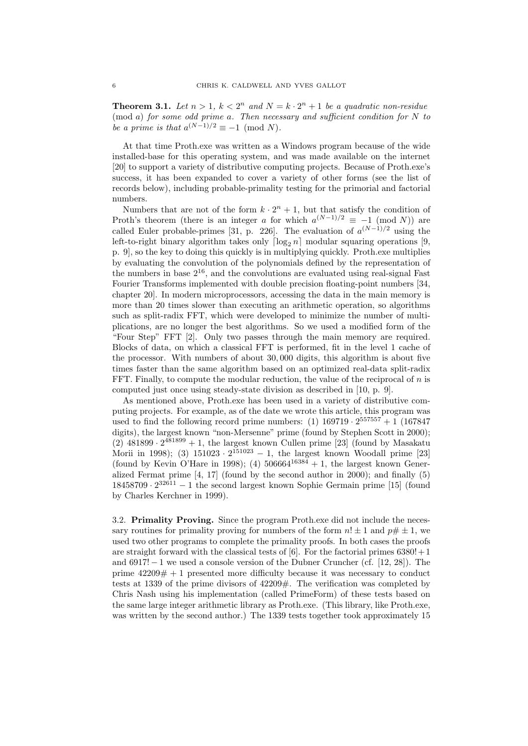**Theorem 3.1.** Let  $n > 1$ ,  $k < 2^n$  and  $N = k \cdot 2^n + 1$  be a quadratic non-residue  $p_{\text{mod } a}$  for some odd prime a. Then necessary and sufficient condition for N to be a prime is that  $a^{(N-1)/2} \equiv -1 \pmod{N}$ .

At that time Proth.exe was written as a Windows program because of the wide installed-base for this operating system, and was made available on the internet [20] to support a variety of distributive computing projects. Because of Proth.exe's success, it has been expanded to cover a variety of other forms (see the list of records below), including probable-primality testing for the primorial and factorial numbers.

Numbers that are not of the form  $k \cdot 2^n + 1$ , but that satisfy the condition of Proth's theorem (there is an integer a for which  $a^{(N-1)/2} \equiv -1 \pmod{N}$ ) are called Euler probable-primes [31, p. 226]. The evaluation of  $a^{(N-1)/2}$  using the left-to-right binary algorithm takes only  $\lceil \log_2 n \rceil$  modular squaring operations [9, p. 9], so the key to doing this quickly is in multiplying quickly. Proth.exe multiplies by evaluating the convolution of the polynomials defined by the representation of the numbers in base  $2^{16}$ , and the convolutions are evaluated using real-signal Fast Fourier Transforms implemented with double precision floating-point numbers [34, chapter 20]. In modern microprocessors, accessing the data in the main memory is more than 20 times slower than executing an arithmetic operation, so algorithms such as split-radix FFT, which were developed to minimize the number of multiplications, are no longer the best algorithms. So we used a modified form of the "Four Step" FFT [2]. Only two passes through the main memory are required. Blocks of data, on which a classical FFT is performed, fit in the level 1 cache of the processor. With numbers of about 30, 000 digits, this algorithm is about five times faster than the same algorithm based on an optimized real-data split-radix FFT. Finally, to compute the modular reduction, the value of the reciprocal of  $n$  is computed just once using steady-state division as described in [10, p. 9].

As mentioned above, Proth.exe has been used in a variety of distributive computing projects. For example, as of the date we wrote this article, this program was used to find the following record prime numbers:  $(1)$  169719 ·  $2^{557557} + 1$  (167847) digits), the largest known "non-Mersenne" prime (found by Stephen Scott in 2000);  $(2)$  481899 ·  $2^{481899} + 1$ , the largest known Cullen prime [23] (found by Masakatu Morii in 1998); (3)  $151023 \cdot 2^{151023} - 1$ , the largest known Woodall prime [23] (found by Kevin O'Hare in 1998); (4)  $506664^{16384} + 1$ , the largest known Generalized Fermat prime [4, 17] (found by the second author in 2000); and finally (5)  $18458709 \cdot 2^{32611} - 1$  the second largest known Sophie Germain prime [15] (found by Charles Kerchner in 1999).

3.2. Primality Proving. Since the program Proth.exe did not include the necessary routines for primality proving for numbers of the form  $n! \pm 1$  and  $p \neq \pm 1$ , we used two other programs to complete the primality proofs. In both cases the proofs are straight forward with the classical tests of  $[6]$ . For the factorial primes  $6380! + 1$ and  $6917! - 1$  we used a console version of the Dubner Cruncher (cf. [12, 28]). The prime  $42209# + 1$  presented more difficulty because it was necessary to conduct tests at 1339 of the prime divisors of 42209#. The verification was completed by Chris Nash using his implementation (called PrimeForm) of these tests based on the same large integer arithmetic library as Proth.exe. (This library, like Proth.exe, was written by the second author.) The 1339 tests together took approximately 15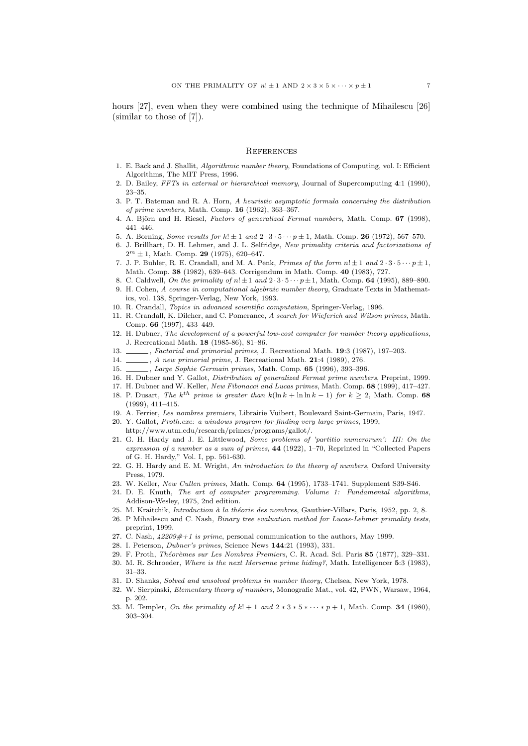hours [27], even when they were combined using the technique of Mihailescu [26] (similar to those of [7]).

#### **REFERENCES**

- 1. E. Back and J. Shallit, Algorithmic number theory, Foundations of Computing, vol. I: Efficient Algorithms, The MIT Press, 1996.
- 2. D. Bailey, FFTs in external or hierarchical memory, Journal of Supercomputing 4:1 (1990), 23–35.
- 3. P. T. Bateman and R. A. Horn, A heuristic asymptotic formula concerning the distribution of prime numbers, Math. Comp. 16 (1962), 363–367.
- 4. A. Björn and H. Riesel, Factors of generalized Fermat numbers, Math. Comp. 67 (1998), 441–446.
- 5. A. Borning, Some results for  $k! \pm 1$  and  $2 \cdot 3 \cdot 5 \cdots p \pm 1$ , Math. Comp. 26 (1972), 567–570.
- 6. J. Brillhart, D. H. Lehmer, and J. L. Selfridge, New primality criteria and factorizations of  $2^m \pm 1$ , Math. Comp. **29** (1975), 620–647.
- 7. J. P. Buhler, R. E. Crandall, and M. A. Penk, *Primes of the form*  $n! \pm 1$  and  $2 \cdot 3 \cdot 5 \cdots p \pm 1$ , Math. Comp. 38 (1982), 639–643. Corrigendum in Math. Comp. 40 (1983), 727.
- 8. C. Caldwell, On the primality of  $n! \pm 1$  and  $2 \cdot 3 \cdot 5 \cdots p \pm 1$ , Math. Comp. **64** (1995), 889–890.
- 9. H. Cohen, A course in computational algebraic number theory, Graduate Texts in Mathematics, vol. 138, Springer-Verlag, New York, 1993.
- 10. R. Crandall, Topics in advanced scientific computation, Springer-Verlag, 1996.
- 11. R. Crandall, K. Dilcher, and C. Pomerance, A search for Wieferich and Wilson primes, Math. Comp. 66 (1997), 433–449.
- 12. H. Dubner, The development of a powerful low-cost computer for number theory applications, J. Recreational Math. 18 (1985-86), 81–86.
- 13. , Factorial and primorial primes, J. Recreational Math. 19:3 (1987), 197-203.
- 14. \_\_\_\_\_, A new primorial prime, J. Recreational Math. 21:4 (1989), 276.
- 15. \_\_\_\_\_, Large Sophie Germain primes, Math. Comp. 65 (1996), 393-396.
- 16. H. Dubner and Y. Gallot, Distribution of generalized Fermat prime numbers, Preprint, 1999.
- 17. H. Dubner and W. Keller, New Fibonacci and Lucas primes, Math. Comp. 68 (1999), 417-427.
- 18. P. Dusart, The k<sup>th</sup> prime is greater than k(ln k + ln ln k 1) for  $k \geq 2$ , Math. Comp. 68 (1999), 411–415.
- 19. A. Ferrier, Les nombres premiers, Librairie Vuibert, Boulevard Saint-Germain, Paris, 1947.
- 20. Y. Gallot, Proth.exe: a windows program for finding very large primes, 1999, http://www.utm.edu/research/primes/programs/gallot/.
- 21. G. H. Hardy and J. E. Littlewood, Some problems of 'partitio numerorum': III: On the expression of a number as a sum of primes, 44 (1922), 1–70, Reprinted in "Collected Papers of G. H. Hardy," Vol. I, pp. 561-630.
- 22. G. H. Hardy and E. M. Wright, An introduction to the theory of numbers, Oxford University Press, 1979.
- 23. W. Keller, New Cullen primes, Math. Comp. 64 (1995), 1733–1741. Supplement S39-S46.
- 24. D. E. Knuth, The art of computer programming. Volume 1: Fundamental algorithms, Addison-Wesley, 1975, 2nd edition.
- 25. M. Kraitchik, *Introduction à la théorie des nombres*, Gauthier-Villars, Paris, 1952, pp. 2, 8.
- 26. P Mihailescu and C. Nash, Binary tree evaluation method for Lucas-Lehmer primality tests, preprint, 1999.
- 27. C. Nash,  $42209#+1$  is prime, personal communication to the authors, May 1999.
- 28. I. Peterson, Dubner's primes, Science News 144:21 (1993), 331.
- 29. F. Proth, Théorèmes sur Les Nombres Premiers, C. R. Acad. Sci. Paris 85 (1877), 329-331.
- 30. M. R. Schroeder, Where is the next Mersenne prime hiding?, Math. Intelligencer 5:3 (1983), 31–33.
- 31. D. Shanks, Solved and unsolved problems in number theory, Chelsea, New York, 1978.
- 32. W. Sierpinski, Elementary theory of numbers, Monografie Mat., vol. 42, PWN, Warsaw, 1964, p. 202.
- 33. M. Templer, On the primality of  $k! + 1$  and  $2 * 3 * 5 * \cdots * p + 1$ , Math. Comp. 34 (1980), 303–304.